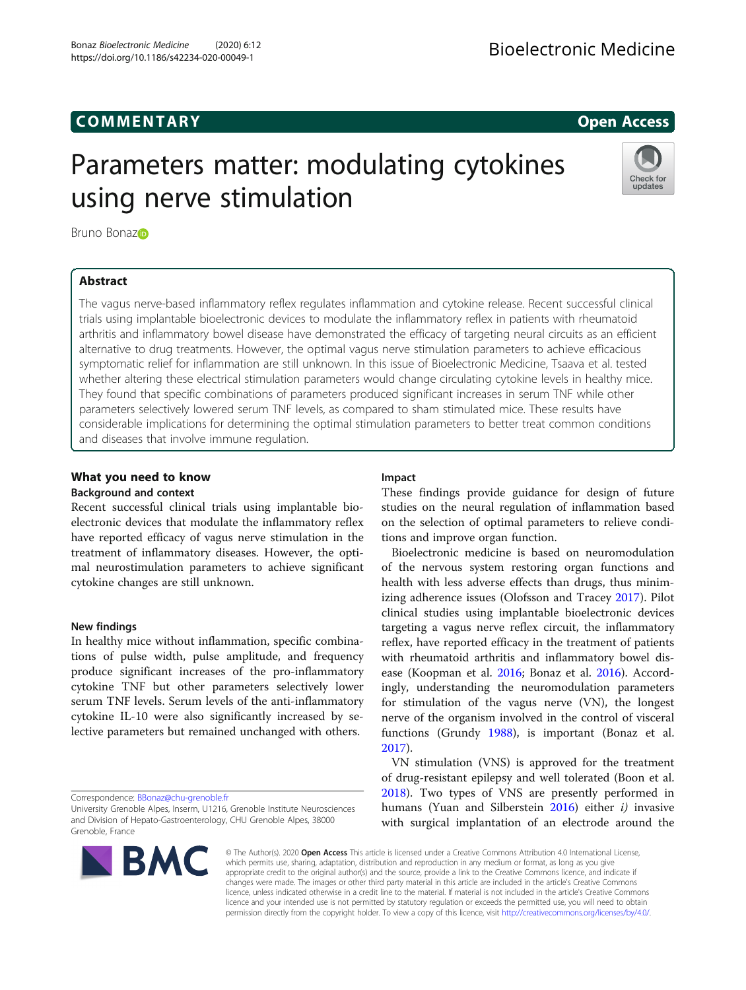# COMM EN TARY Open Access

# Parameters matter: modulating cytokines using nerve stimulation



Bruno Bonazo

# Abstract

The vagus nerve-based inflammatory reflex regulates inflammation and cytokine release. Recent successful clinical trials using implantable bioelectronic devices to modulate the inflammatory reflex in patients with rheumatoid arthritis and inflammatory bowel disease have demonstrated the efficacy of targeting neural circuits as an efficient alternative to drug treatments. However, the optimal vagus nerve stimulation parameters to achieve efficacious symptomatic relief for inflammation are still unknown. In this issue of Bioelectronic Medicine, Tsaava et al. tested whether altering these electrical stimulation parameters would change circulating cytokine levels in healthy mice. They found that specific combinations of parameters produced significant increases in serum TNF while other parameters selectively lowered serum TNF levels, as compared to sham stimulated mice. These results have considerable implications for determining the optimal stimulation parameters to better treat common conditions and diseases that involve immune regulation.

# What you need to know

## Background and context

Recent successful clinical trials using implantable bioelectronic devices that modulate the inflammatory reflex have reported efficacy of vagus nerve stimulation in the treatment of inflammatory diseases. However, the optimal neurostimulation parameters to achieve significant cytokine changes are still unknown.

# New findings

In healthy mice without inflammation, specific combinations of pulse width, pulse amplitude, and frequency produce significant increases of the pro-inflammatory cytokine TNF but other parameters selectively lower serum TNF levels. Serum levels of the anti-inflammatory cytokine IL-10 were also significantly increased by selective parameters but remained unchanged with others.

Correspondence: [BBonaz@chu-grenoble.fr](mailto:BBonaz@chu-grenoble.fr)

University Grenoble Alpes, Inserm, U1216, Grenoble Institute Neurosciences and Division of Hepato-Gastroenterology, CHU Grenoble Alpes, 38000 Grenoble, France

# **BMC**

# Impact

These findings provide guidance for design of future studies on the neural regulation of inflammation based on the selection of optimal parameters to relieve conditions and improve organ function.

Bioelectronic medicine is based on neuromodulation of the nervous system restoring organ functions and health with less adverse effects than drugs, thus minimizing adherence issues (Olofsson and Tracey [2017](#page-2-0)). Pilot clinical studies using implantable bioelectronic devices targeting a vagus nerve reflex circuit, the inflammatory reflex, have reported efficacy in the treatment of patients with rheumatoid arthritis and inflammatory bowel disease (Koopman et al. [2016;](#page-2-0) Bonaz et al. [2016](#page-2-0)). Accordingly, understanding the neuromodulation parameters for stimulation of the vagus nerve (VN), the longest nerve of the organism involved in the control of visceral functions (Grundy [1988](#page-2-0)), is important (Bonaz et al. [2017](#page-2-0)).

VN stimulation (VNS) is approved for the treatment of drug-resistant epilepsy and well tolerated (Boon et al. [2018](#page-2-0)). Two types of VNS are presently performed in humans (Yuan and Silberstein  $2016$ ) either *i*) invasive with surgical implantation of an electrode around the

© The Author(s). 2020 Open Access This article is licensed under a Creative Commons Attribution 4.0 International License, which permits use, sharing, adaptation, distribution and reproduction in any medium or format, as long as you give appropriate credit to the original author(s) and the source, provide a link to the Creative Commons licence, and indicate if changes were made. The images or other third party material in this article are included in the article's Creative Commons licence, unless indicated otherwise in a credit line to the material. If material is not included in the article's Creative Commons licence and your intended use is not permitted by statutory regulation or exceeds the permitted use, you will need to obtain permission directly from the copyright holder. To view a copy of this licence, visit [http://creativecommons.org/licenses/by/4.0/.](http://creativecommons.org/licenses/by/4.0/)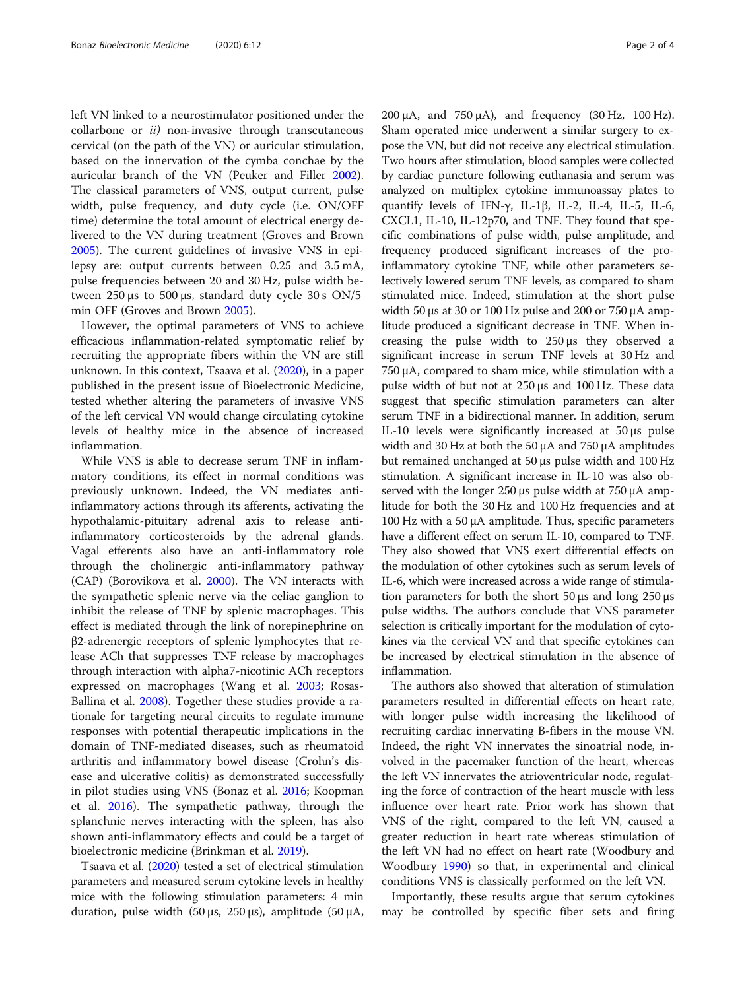left VN linked to a neurostimulator positioned under the collarbone or *ii*) non-invasive through transcutaneous cervical (on the path of the VN) or auricular stimulation, based on the innervation of the cymba conchae by the auricular branch of the VN (Peuker and Filler [2002](#page-2-0)). The classical parameters of VNS, output current, pulse width, pulse frequency, and duty cycle (i.e. ON/OFF time) determine the total amount of electrical energy delivered to the VN during treatment (Groves and Brown [2005](#page-2-0)). The current guidelines of invasive VNS in epilepsy are: output currents between 0.25 and 3.5 mA, pulse frequencies between 20 and 30 Hz, pulse width between  $250 \mu s$  to  $500 \mu s$ , standard duty cycle  $30 s$  ON/5 min OFF (Groves and Brown [2005\)](#page-2-0).

However, the optimal parameters of VNS to achieve efficacious inflammation-related symptomatic relief by recruiting the appropriate fibers within the VN are still unknown. In this context, Tsaava et al. ([2020](#page-2-0)), in a paper published in the present issue of Bioelectronic Medicine, tested whether altering the parameters of invasive VNS of the left cervical VN would change circulating cytokine levels of healthy mice in the absence of increased inflammation.

While VNS is able to decrease serum TNF in inflammatory conditions, its effect in normal conditions was previously unknown. Indeed, the VN mediates antiinflammatory actions through its afferents, activating the hypothalamic-pituitary adrenal axis to release antiinflammatory corticosteroids by the adrenal glands. Vagal efferents also have an anti-inflammatory role through the cholinergic anti-inflammatory pathway (CAP) (Borovikova et al. [2000\)](#page-2-0). The VN interacts with the sympathetic splenic nerve via the celiac ganglion to inhibit the release of TNF by splenic macrophages. This effect is mediated through the link of norepinephrine on β2-adrenergic receptors of splenic lymphocytes that release ACh that suppresses TNF release by macrophages through interaction with alpha7-nicotinic ACh receptors expressed on macrophages (Wang et al. [2003](#page-3-0); Rosas-Ballina et al. [2008](#page-2-0)). Together these studies provide a rationale for targeting neural circuits to regulate immune responses with potential therapeutic implications in the domain of TNF-mediated diseases, such as rheumatoid arthritis and inflammatory bowel disease (Crohn's disease and ulcerative colitis) as demonstrated successfully in pilot studies using VNS (Bonaz et al. [2016;](#page-2-0) Koopman et al. [2016](#page-2-0)). The sympathetic pathway, through the splanchnic nerves interacting with the spleen, has also shown anti-inflammatory effects and could be a target of bioelectronic medicine (Brinkman et al. [2019](#page-2-0)).

Tsaava et al. [\(2020](#page-2-0)) tested a set of electrical stimulation parameters and measured serum cytokine levels in healthy mice with the following stimulation parameters: 4 min duration, pulse width (50 μs, 250 μs), amplitude (50 μA,  $200 \mu A$ , and  $750 \mu A$ ), and frequency  $(30 \text{ Hz}, 100 \text{ Hz})$ . Sham operated mice underwent a similar surgery to expose the VN, but did not receive any electrical stimulation. Two hours after stimulation, blood samples were collected by cardiac puncture following euthanasia and serum was analyzed on multiplex cytokine immunoassay plates to quantify levels of IFN-γ, IL-1β, IL-2, IL-4, IL-5, IL-6, CXCL1, IL-10, IL-12p70, and TNF. They found that specific combinations of pulse width, pulse amplitude, and frequency produced significant increases of the proinflammatory cytokine TNF, while other parameters selectively lowered serum TNF levels, as compared to sham stimulated mice. Indeed, stimulation at the short pulse width 50  $\mu$ s at 30 or 100 Hz pulse and 200 or 750  $\mu$ A amplitude produced a significant decrease in TNF. When increasing the pulse width to 250 μs they observed a significant increase in serum TNF levels at 30 Hz and 750 μA, compared to sham mice, while stimulation with a pulse width of but not at 250 μs and 100 Hz. These data suggest that specific stimulation parameters can alter serum TNF in a bidirectional manner. In addition, serum IL-10 levels were significantly increased at 50 μs pulse width and 30 Hz at both the 50 μA and 750 μA amplitudes but remained unchanged at 50 μs pulse width and 100 Hz stimulation. A significant increase in IL-10 was also observed with the longer 250 μs pulse width at 750 μA amplitude for both the 30 Hz and 100 Hz frequencies and at 100 Hz with a 50 μA amplitude. Thus, specific parameters have a different effect on serum IL-10, compared to TNF. They also showed that VNS exert differential effects on the modulation of other cytokines such as serum levels of IL-6, which were increased across a wide range of stimulation parameters for both the short  $50 \mu s$  and long  $250 \mu s$ pulse widths. The authors conclude that VNS parameter selection is critically important for the modulation of cytokines via the cervical VN and that specific cytokines can be increased by electrical stimulation in the absence of inflammation.

The authors also showed that alteration of stimulation parameters resulted in differential effects on heart rate, with longer pulse width increasing the likelihood of recruiting cardiac innervating B-fibers in the mouse VN. Indeed, the right VN innervates the sinoatrial node, involved in the pacemaker function of the heart, whereas the left VN innervates the atrioventricular node, regulating the force of contraction of the heart muscle with less influence over heart rate. Prior work has shown that VNS of the right, compared to the left VN, caused a greater reduction in heart rate whereas stimulation of the left VN had no effect on heart rate (Woodbury and Woodbury [1990](#page-3-0)) so that, in experimental and clinical conditions VNS is classically performed on the left VN.

Importantly, these results argue that serum cytokines may be controlled by specific fiber sets and firing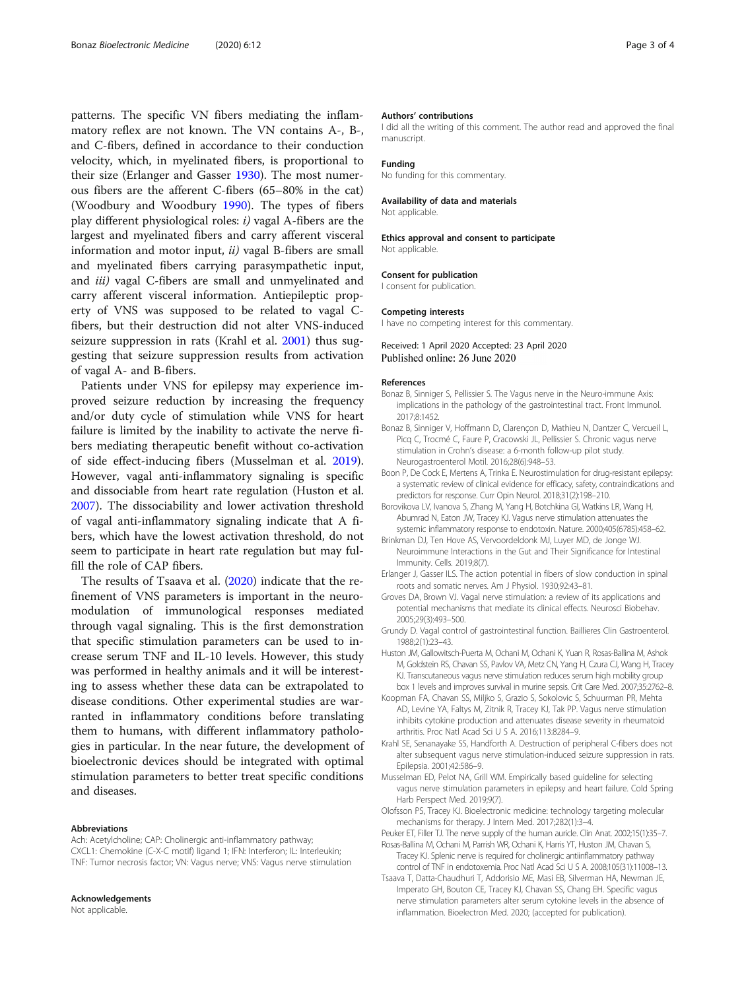<span id="page-2-0"></span>patterns. The specific VN fibers mediating the inflammatory reflex are not known. The VN contains A-, B-, and C-fibers, defined in accordance to their conduction velocity, which, in myelinated fibers, is proportional to their size (Erlanger and Gasser 1930). The most numerous fibers are the afferent C-fibers (65–80% in the cat) (Woodbury and Woodbury [1990](#page-3-0)). The types of fibers play different physiological roles: i) vagal A-fibers are the largest and myelinated fibers and carry afferent visceral information and motor input, ii) vagal B-fibers are small and myelinated fibers carrying parasympathetic input, and *iii*) vagal C-fibers are small and unmyelinated and carry afferent visceral information. Antiepileptic property of VNS was supposed to be related to vagal Cfibers, but their destruction did not alter VNS-induced seizure suppression in rats (Krahl et al. 2001) thus suggesting that seizure suppression results from activation of vagal A- and B-fibers.

Patients under VNS for epilepsy may experience improved seizure reduction by increasing the frequency and/or duty cycle of stimulation while VNS for heart failure is limited by the inability to activate the nerve fibers mediating therapeutic benefit without co-activation of side effect-inducing fibers (Musselman et al. 2019). However, vagal anti-inflammatory signaling is specific and dissociable from heart rate regulation (Huston et al. 2007). The dissociability and lower activation threshold of vagal anti-inflammatory signaling indicate that A fibers, which have the lowest activation threshold, do not seem to participate in heart rate regulation but may fulfill the role of CAP fibers.

The results of Tsaava et al. (2020) indicate that the refinement of VNS parameters is important in the neuromodulation of immunological responses mediated through vagal signaling. This is the first demonstration that specific stimulation parameters can be used to increase serum TNF and IL-10 levels. However, this study was performed in healthy animals and it will be interesting to assess whether these data can be extrapolated to disease conditions. Other experimental studies are warranted in inflammatory conditions before translating them to humans, with different inflammatory pathologies in particular. In the near future, the development of bioelectronic devices should be integrated with optimal stimulation parameters to better treat specific conditions and diseases.

#### Abbreviations

Ach: Acetylcholine; CAP: Cholinergic anti-inflammatory pathway; CXCL1: Chemokine (C-X-C motif) ligand 1; IFN: Interferon; IL: Interleukin; TNF: Tumor necrosis factor; VN: Vagus nerve; VNS: Vagus nerve stimulation

#### Acknowledgements

Not applicable.

#### Authors' contributions

I did all the writing of this comment. The author read and approved the final manuscript.

#### Funding

#### No funding for this commentary.

#### Availability of data and materials

Not applicable.

Ethics approval and consent to participate Not applicable.

#### Consent for publication

I consent for publication.

#### Competing interests

I have no competing interest for this commentary.

### Received: 1 April 2020 Accepted: 23 April 2020 Published online: 26 June 2020

#### References

- Bonaz B, Sinniger S, Pellissier S. The Vagus nerve in the Neuro-immune Axis: implications in the pathology of the gastrointestinal tract. Front Immunol. 2017;8:1452.
- Bonaz B, Sinniger V, Hoffmann D, Clarençon D, Mathieu N, Dantzer C, Vercueil L, Picq C, Trocmé C, Faure P, Cracowski JL, Pellissier S. Chronic vagus nerve stimulation in Crohn's disease: a 6-month follow-up pilot study. Neurogastroenterol Motil. 2016;28(6):948–53.
- Boon P, De Cock E, Mertens A, Trinka E. Neurostimulation for drug-resistant epilepsy: a systematic review of clinical evidence for efficacy, safety, contraindications and predictors for response. Curr Opin Neurol. 2018;31(2):198–210.
- Borovikova LV, Ivanova S, Zhang M, Yang H, Botchkina GI, Watkins LR, Wang H, Abumrad N, Eaton JW, Tracey KJ. Vagus nerve stimulation attenuates the systemic inflammatory response to endotoxin. Nature. 2000;405(6785):458–62.
- Brinkman DJ, Ten Hove AS, Vervoordeldonk MJ, Luyer MD, de Jonge WJ. Neuroimmune Interactions in the Gut and Their Significance for Intestinal Immunity. Cells. 2019;8(7).
- Erlanger J, Gasser ILS. The action potential in fibers of slow conduction in spinal roots and somatic nerves. Am J Physiol. 1930;92:43–81.
- Groves DA, Brown VJ. Vagal nerve stimulation: a review of its applications and potential mechanisms that mediate its clinical effects. Neurosci Biobehav. 2005;29(3):493–500.
- Grundy D. Vagal control of gastrointestinal function. Baillieres Clin Gastroenterol. 1988;2(1):23–43.
- Huston JM, Gallowitsch-Puerta M, Ochani M, Ochani K, Yuan R, Rosas-Ballina M, Ashok M, Goldstein RS, Chavan SS, Pavlov VA, Metz CN, Yang H, Czura CJ, Wang H, Tracey KJ. Transcutaneous vagus nerve stimulation reduces serum high mobility group box 1 levels and improves survival in murine sepsis. Crit Care Med. 2007;35:2762–8.
- Koopman FA, Chavan SS, Miljko S, Grazio S, Sokolovic S, Schuurman PR, Mehta AD, Levine YA, Faltys M, Zitnik R, Tracey KJ, Tak PP. Vagus nerve stimulation inhibits cytokine production and attenuates disease severity in rheumatoid arthritis. Proc Natl Acad Sci U S A. 2016;113:8284–9.
- Krahl SE, Senanayake SS, Handforth A. Destruction of peripheral C-fibers does not alter subsequent vagus nerve stimulation-induced seizure suppression in rats. Epilepsia. 2001;42:586–9.
- Musselman ED, Pelot NA, Grill WM. Empirically based guideline for selecting vagus nerve stimulation parameters in epilepsy and heart failure. Cold Spring Harb Perspect Med. 2019;9(7).
- Olofsson PS, Tracey KJ. Bioelectronic medicine: technology targeting molecular mechanisms for therapy. J Intern Med. 2017;282(1):3–4.
- Peuker ET, Filler TJ. The nerve supply of the human auricle. Clin Anat. 2002;15(1):35–7. Rosas-Ballina M, Ochani M, Parrish WR, Ochani K, Harris YT, Huston JM, Chavan S,
- Tracey KJ. Splenic nerve is required for cholinergic antiinflammatory pathway control of TNF in endotoxemia. Proc Natl Acad Sci U S A. 2008;105(31):11008–13.
- Tsaava T, Datta-Chaudhuri T, Addorisio ME, Masi EB, Silverman HA, Newman JE, Imperato GH, Bouton CE, Tracey KJ, Chavan SS, Chang EH. Specific vagus nerve stimulation parameters alter serum cytokine levels in the absence of inflammation. Bioelectron Med. 2020; (accepted for publication).